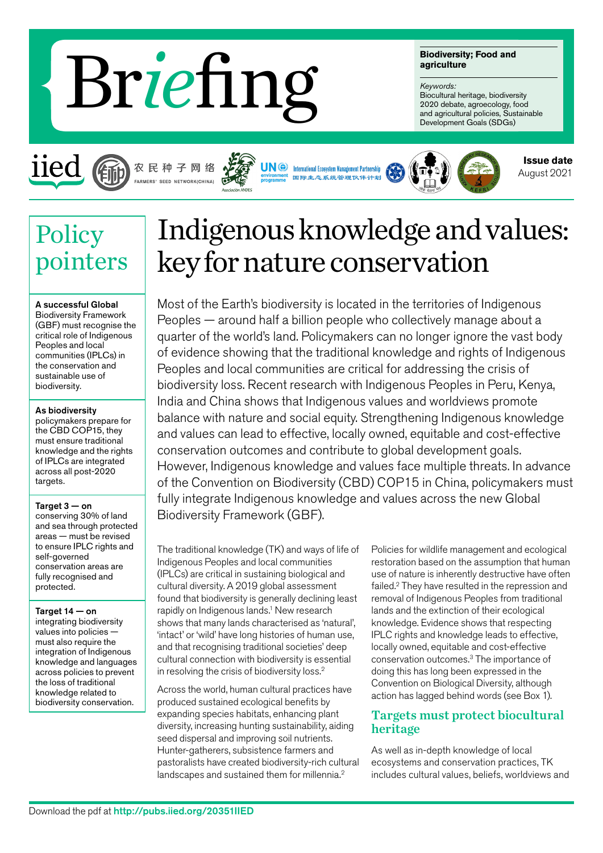# Br *ie*fing

**Biodiversity; Food and agriculture**

#### *Keywords:*

Biocultural heritage, biodiversity 2020 debate, agroecology, food and agricultural policies, Sustainable Development Goals (SDGs)



# 农 民 种 子 网 络 FARMERS' SEED NETWORK(CHINA)





**Issue date** August 2021

# **Policy** pointers

### A successful Global

Biodiversity Framework (GBF) must recognise the critical role of Indigenous Peoples and local communities (IPLCs) in the conservation and sustainable use of biodiversity.

#### As biodiversity

policymakers prepare for the CBD COP15, they must ensure traditional knowledge and the rights of IPLCs are integrated across all post-2020 targets.

#### Target 3 — on

conserving 30% of land and sea through protected areas — must be revised to ensure IPLC rights and self-governed conservation areas are fully recognised and protected.

Target 14 — on integrating biodiversity values into policies must also require the integration of Indigenous knowledge and languages across policies to prevent the loss of traditional knowledge related to

biodiversity conservation.

# Indigenous knowledge and values: key for nature conservation

Most of the Earth's biodiversity is located in the territories of Indigenous Peoples — around half a billion people who collectively manage about a quarter of the world's land. Policymakers can no longer ignore the vast body of evidence showing that the traditional knowledge and rights of Indigenous Peoples and local communities are critical for addressing the crisis of biodiversity loss. Recent research with Indigenous Peoples in Peru, Kenya, India and China shows that Indigenous values and worldviews promote balance with nature and social equity. Strengthening Indigenous knowledge and values can lead to effective, locally owned, equitable and cost-effective conservation outcomes and contribute to global development goals. However, Indigenous knowledge and values face multiple threats. In advance of the Convention on Biodiversity (CBD) COP15 in China, policymakers must fully integrate Indigenous knowledge and values across the new Global Biodiversity Framework (GBF).

The traditional knowledge (TK) and ways of life of Indigenous Peoples and local communities (IPLCs) are critical in sustaining biological and cultural diversity. A 2019 global assessment found that biodiversity is generally declining least rapidly on Indigenous lands.<sup>1</sup> New research shows that many lands characterised as 'natural', 'intact' or 'wild' have long histories of human use, and that recognising traditional societies' deep cultural connection with biodiversity is essential in resolving the crisis of biodiversity loss.2

Across the world, human cultural practices have produced sustained ecological benefits by expanding species habitats, enhancing plant diversity, increasing hunting sustainability, aiding seed dispersal and improving soil nutrients. Hunter-gatherers, subsistence farmers and pastoralists have created biodiversity-rich cultural landscapes and sustained them for millennia.<sup>2</sup>

Policies for wildlife management and ecological restoration based on the assumption that human use of nature is inherently destructive have often failed.2 They have resulted in the repression and removal of Indigenous Peoples from traditional lands and the extinction of their ecological knowledge. Evidence shows that respecting IPLC rights and knowledge leads to effective, locally owned, equitable and cost-effective conservation outcomes.3 The importance of doing this has long been expressed in the Convention on Biological Diversity, although action has lagged behind words (see Box 1).

# Targets must protect biocultural heritage

As well as in-depth knowledge of local ecosystems and conservation practices, TK includes cultural values, beliefs, worldviews and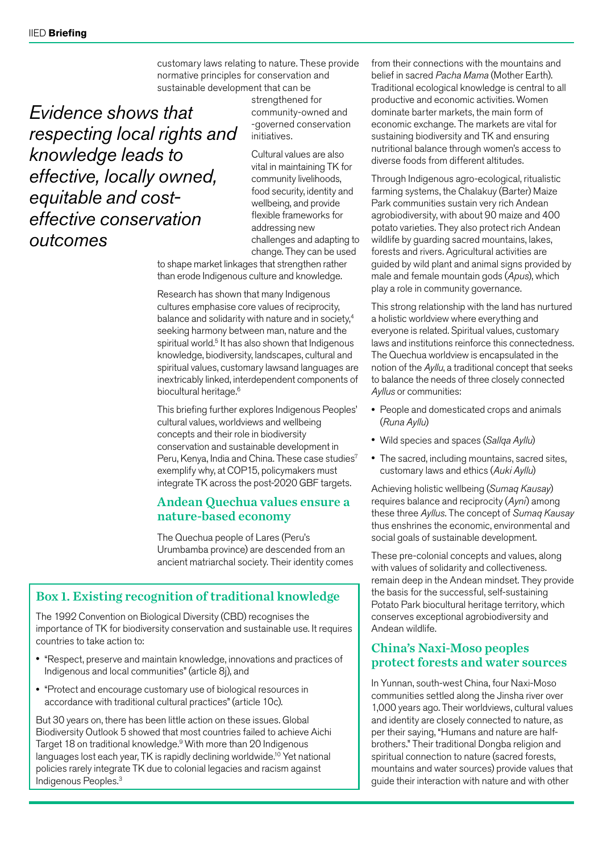customary laws relating to nature. These provide normative principles for conservation and sustainable development that can be

*Evidence shows that respecting local rights and knowledge leads to effective, locally owned, equitable and costeffective conservation outcomes*

strengthened for community-owned and -governed conservation initiatives.

Cultural values are also vital in maintaining TK for community livelihoods, food security, identity and wellbeing, and provide flexible frameworks for addressing new challenges and adapting to change. They can be used

to shape market linkages that strengthen rather than erode Indigenous culture and knowledge.

Research has shown that many Indigenous cultures emphasise core values of reciprocity, balance and solidarity with nature and in society,<sup>4</sup> seeking harmony between man, nature and the spiritual world.<sup>5</sup> It has also shown that Indigenous knowledge, biodiversity, landscapes, cultural and spiritual values, customary lawsand languages are inextricably linked, interdependent components of biocultural heritage.<sup>6</sup>

This briefing further explores Indigenous Peoples' cultural values, worldviews and wellbeing concepts and their role in biodiversity conservation and sustainable development in Peru, Kenya, India and China. These case studies<sup>7</sup> exemplify why, at COP15, policymakers must integrate TK across the post-2020 GBF targets.

## Andean Quechua values ensure a nature-based economy

The Quechua people of Lares (Peru's Urumbamba province) are descended from an ancient matriarchal society. Their identity comes

# Box 1. Existing recognition of traditional knowledge

The 1992 Convention on Biological Diversity (CBD) recognises the importance of TK for biodiversity conservation and sustainable use. It requires countries to take action to:

- "Respect, preserve and maintain knowledge, innovations and practices of Indigenous and local communities" (article 8j), and
- "Protect and encourage customary use of biological resources in accordance with traditional cultural practices" (article 10c).

But 30 years on, there has been little action on these issues. Global Biodiversity Outlook 5 showed that most countries failed to achieve Aichi Target 18 on traditional knowledge.<sup>9</sup> With more than 20 Indigenous languages lost each year, TK is rapidly declining worldwide.<sup>10</sup> Yet national policies rarely integrate TK due to colonial legacies and racism against Indigenous Peoples.<sup>3</sup>

from their connections with the mountains and belief in sacred *Pacha Mama* (Mother Earth). Traditional ecological knowledge is central to all productive and economic activities. Women dominate barter markets, the main form of economic exchange. The markets are vital for sustaining biodiversity and TK and ensuring nutritional balance through women's access to diverse foods from different altitudes.

Through Indigenous agro-ecological, ritualistic farming systems, the Chalakuy (Barter) Maize Park communities sustain very rich Andean agrobiodiversity, with about 90 maize and 400 potato varieties. They also protect rich Andean wildlife by guarding sacred mountains, lakes, forests and rivers. Agricultural activities are guided by wild plant and animal signs provided by male and female mountain gods (*Apus*), which play a role in community governance.

This strong relationship with the land has nurtured a holistic worldview where everything and everyone is related. Spiritual values, customary laws and institutions reinforce this connectedness. The Quechua worldview is encapsulated in the notion of the *Ayllu*, a traditional concept that seeks to balance the needs of three closely connected *Ayllus* or communities:

- People and domesticated crops and animals (*Runa Ayllu*)
- Wild species and spaces (*Sallqa Ayllu*)
- The sacred, including mountains, sacred sites, customary laws and ethics (*Auki Ayllu*)

Achieving holistic wellbeing (*Sumaq Kausay*) requires balance and reciprocity (*Ayni*) among these three *Ayllus*. The concept of *Sumaq Kausay*  thus enshrines the economic, environmental and social goals of sustainable development.

These pre-colonial concepts and values, along with values of solidarity and collectiveness. remain deep in the Andean mindset. They provide the basis for the successful, self-sustaining Potato Park biocultural heritage territory, which conserves exceptional agrobiodiversity and Andean wildlife.

## China's Naxi-Moso peoples protect forests and water sources

In Yunnan, south-west China, four Naxi-Moso communities settled along the Jinsha river over 1,000 years ago. Their worldviews, cultural values and identity are closely connected to nature, as per their saying, "Humans and nature are halfbrothers." Their traditional Dongba religion and spiritual connection to nature (sacred forests, mountains and water sources) provide values that guide their interaction with nature and with other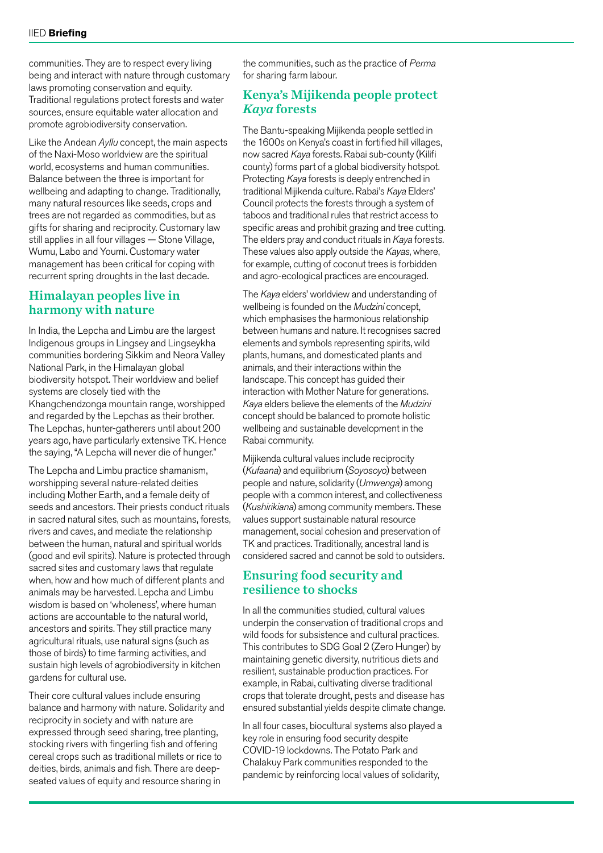communities. They are to respect every living being and interact with nature through customary laws promoting conservation and equity. Traditional regulations protect forests and water sources, ensure equitable water allocation and promote agrobiodiversity conservation.

Like the Andean *Ayllu* concept, the main aspects of the Naxi-Moso worldview are the spiritual world, ecosystems and human communities. Balance between the three is important for wellbeing and adapting to change. Traditionally, many natural resources like seeds, crops and trees are not regarded as commodities, but as gifts for sharing and reciprocity. Customary law still applies in all four villages — Stone Village, Wumu, Labo and Youmi. Customary water management has been critical for coping with recurrent spring droughts in the last decade.

#### Himalayan peoples live in harmony with nature

In India, the Lepcha and Limbu are the largest Indigenous groups in Lingsey and Lingseykha communities bordering Sikkim and Neora Valley National Park, in the Himalayan global biodiversity hotspot. Their worldview and belief systems are closely tied with the Khangchendzonga mountain range, worshipped and regarded by the Lepchas as their brother. The Lepchas, hunter-gatherers until about 200 years ago, have particularly extensive TK. Hence the saying, "A Lepcha will never die of hunger."

The Lepcha and Limbu practice shamanism, worshipping several nature-related deities including Mother Earth, and a female deity of seeds and ancestors. Their priests conduct rituals in sacred natural sites, such as mountains, forests, rivers and caves, and mediate the relationship between the human, natural and spiritual worlds (good and evil spirits). Nature is protected through sacred sites and customary laws that regulate when, how and how much of different plants and animals may be harvested. Lepcha and Limbu wisdom is based on 'wholeness', where human actions are accountable to the natural world, ancestors and spirits. They still practice many agricultural rituals, use natural signs (such as those of birds) to time farming activities, and sustain high levels of agrobiodiversity in kitchen gardens for cultural use.

Their core cultural values include ensuring balance and harmony with nature. Solidarity and reciprocity in society and with nature are expressed through seed sharing, tree planting, stocking rivers with fingerling fish and offering cereal crops such as traditional millets or rice to deities, birds, animals and fish. There are deepseated values of equity and resource sharing in

the communities, such as the practice of *Perma* for sharing farm labour.

### Kenya's Mijikenda people protect *Kaya* forests

The Bantu-speaking Mijikenda people settled in the 1600s on Kenya's coast in fortified hill villages, now sacred *Kaya* forests. Rabai sub-county (Kilifi county) forms part of a global biodiversity hotspot. Protecting *Kaya* forests is deeply entrenched in traditional Mijikenda culture. Rabai's *Kaya* Elders' Council protects the forests through a system of taboos and traditional rules that restrict access to specific areas and prohibit grazing and tree cutting. The elders pray and conduct rituals in *Kaya* forests. These values also apply outside the *Kayas*, where, for example, cutting of coconut trees is forbidden and agro-ecological practices are encouraged.

The *Kaya* elders' worldview and understanding of wellbeing is founded on the *Mudzini* concept, which emphasises the harmonious relationship between humans and nature. It recognises sacred elements and symbols representing spirits, wild plants, humans, and domesticated plants and animals, and their interactions within the landscape. This concept has guided their interaction with Mother Nature for generations. *Kaya* elders believe the elements of the *Mudzini* concept should be balanced to promote holistic wellbeing and sustainable development in the Rabai community.

Mijikenda cultural values include reciprocity (*Kufaana*) and equilibrium (*Soyosoyo*) between people and nature, solidarity (*Umwenga*) among people with a common interest, and collectiveness (*Kushirikiana*) among community members. These values support sustainable natural resource management, social cohesion and preservation of TK and practices. Traditionally, ancestral land is considered sacred and cannot be sold to outsiders.

### Ensuring food security and resilience to shocks

In all the communities studied, cultural values underpin the conservation of traditional crops and wild foods for subsistence and cultural practices. This contributes to SDG Goal 2 (Zero Hunger) by maintaining genetic diversity, nutritious diets and resilient, sustainable production practices. For example, in Rabai, cultivating diverse traditional crops that tolerate drought, pests and disease has ensured substantial yields despite climate change.

In all four cases, biocultural systems also played a key role in ensuring food security despite COVID-19 lockdowns. The Potato Park and Chalakuy Park communities responded to the pandemic by reinforcing local values of solidarity,